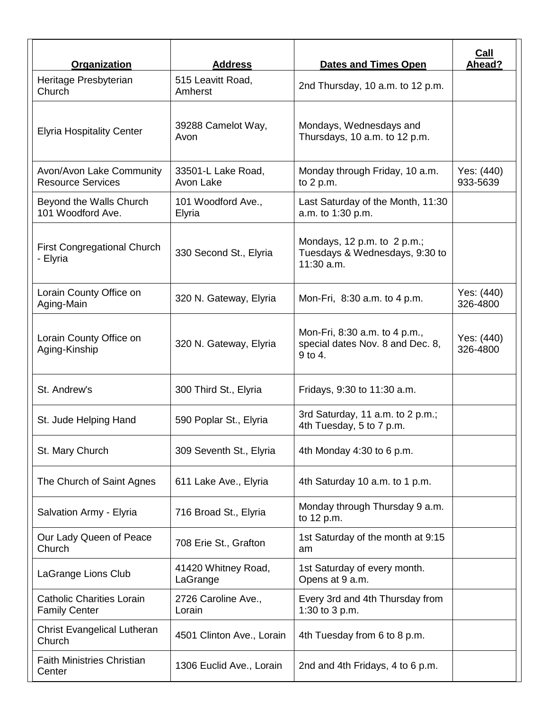| Organization                                             | <b>Address</b>                  | <b>Dates and Times Open</b>                                                   | Call<br>Ahead?         |
|----------------------------------------------------------|---------------------------------|-------------------------------------------------------------------------------|------------------------|
| Heritage Presbyterian<br>Church                          | 515 Leavitt Road,<br>Amherst    | 2nd Thursday, 10 a.m. to 12 p.m.                                              |                        |
| <b>Elyria Hospitality Center</b>                         | 39288 Camelot Way,<br>Avon      | Mondays, Wednesdays and<br>Thursdays, 10 a.m. to 12 p.m.                      |                        |
| Avon/Avon Lake Community<br><b>Resource Services</b>     | 33501-L Lake Road,<br>Avon Lake | Monday through Friday, 10 a.m.<br>to $2 p.m.$                                 | Yes: (440)<br>933-5639 |
| Beyond the Walls Church<br>101 Woodford Ave.             | 101 Woodford Ave.,<br>Elyria    | Last Saturday of the Month, 11:30<br>a.m. to 1:30 p.m.                        |                        |
| <b>First Congregational Church</b><br>- Elyria           | 330 Second St., Elyria          | Mondays, 12 p.m. to 2 p.m.;<br>Tuesdays & Wednesdays, 9:30 to<br>$11:30$ a.m. |                        |
| Lorain County Office on<br>Aging-Main                    | 320 N. Gateway, Elyria          | Mon-Fri, 8:30 a.m. to 4 p.m.                                                  | Yes: (440)<br>326-4800 |
| Lorain County Office on<br>Aging-Kinship                 | 320 N. Gateway, Elyria          | Mon-Fri, 8:30 a.m. to 4 p.m.,<br>special dates Nov. 8 and Dec. 8,<br>9 to 4.  | Yes: (440)<br>326-4800 |
| St. Andrew's                                             | 300 Third St., Elyria           | Fridays, 9:30 to 11:30 a.m.                                                   |                        |
| St. Jude Helping Hand                                    | 590 Poplar St., Elyria          | 3rd Saturday, 11 a.m. to 2 p.m.;<br>4th Tuesday, 5 to 7 p.m.                  |                        |
| St. Mary Church                                          | 309 Seventh St., Elyria         | 4th Monday 4:30 to 6 p.m.                                                     |                        |
| The Church of Saint Agnes                                | 611 Lake Ave., Elyria           | 4th Saturday 10 a.m. to 1 p.m.                                                |                        |
| Salvation Army - Elyria                                  | 716 Broad St., Elyria           | Monday through Thursday 9 a.m.<br>to 12 p.m.                                  |                        |
| Our Lady Queen of Peace<br>Church                        | 708 Erie St., Grafton           | 1st Saturday of the month at 9:15<br>am                                       |                        |
| LaGrange Lions Club                                      | 41420 Whitney Road,<br>LaGrange | 1st Saturday of every month.<br>Opens at 9 a.m.                               |                        |
| <b>Catholic Charities Lorain</b><br><b>Family Center</b> | 2726 Caroline Ave.,<br>Lorain   | Every 3rd and 4th Thursday from<br>1:30 to 3 p.m.                             |                        |
| <b>Christ Evangelical Lutheran</b><br>Church             | 4501 Clinton Ave., Lorain       | 4th Tuesday from 6 to 8 p.m.                                                  |                        |
| <b>Faith Ministries Christian</b><br>Center              | 1306 Euclid Ave., Lorain        | 2nd and 4th Fridays, 4 to 6 p.m.                                              |                        |